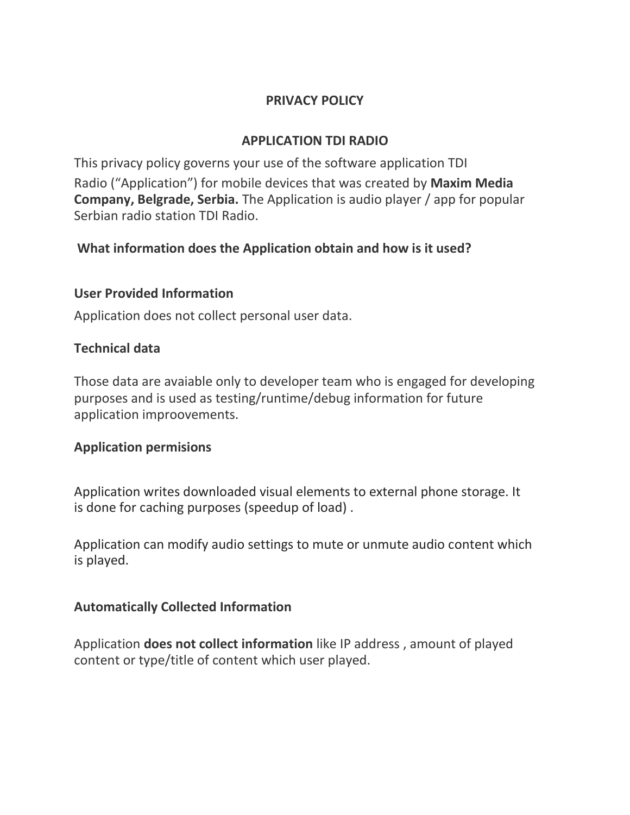### **PRIVACY POLICY**

# **APPLICATION TDI RADIO**

This privacy policy governs your use of the software application TDI Radio ("Application") for mobile devices that was created by **Maxim Media Company, Belgrade, Serbia.** The Application is audio player / app for popular Serbian radio station TDI Radio.

### **What information does the Application obtain and how is it used?**

### **User Provided Information**

Application does not collect personal user data.

### **Technical data**

Those data are avaiable only to developer team who is engaged for developing purposes and is used as testing/runtime/debug information for future application improovements.

### **Application permisions**

Application writes downloaded visual elements to external phone storage. It is done for caching purposes (speedup of load) .

Application can modify audio settings to mute or unmute audio content which is played.

### **Automatically Collected Information**

Application **does not collect information** like IP address , amount of played content or type/title of content which user played.